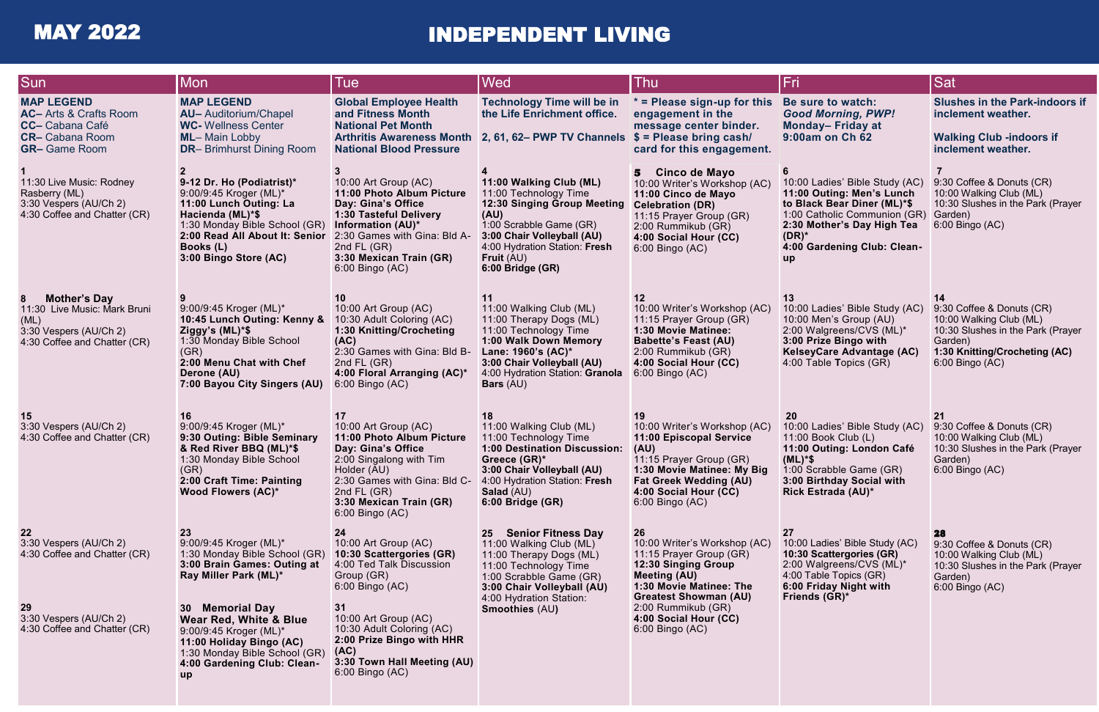# MAY 2022 INDEPENDENT LIVING

| <b>Sun</b>                                                                                                                     | Mon                                                                                                                                                                                                        | Tue                                                                                                                                                                                                                  | Wed                                                                                                                                                                                                                          | Thu                                                                                                                                                                                                         | Fri                                                                                                                                                                                                              | <b>Sat</b>                                                                                                                                               |
|--------------------------------------------------------------------------------------------------------------------------------|------------------------------------------------------------------------------------------------------------------------------------------------------------------------------------------------------------|----------------------------------------------------------------------------------------------------------------------------------------------------------------------------------------------------------------------|------------------------------------------------------------------------------------------------------------------------------------------------------------------------------------------------------------------------------|-------------------------------------------------------------------------------------------------------------------------------------------------------------------------------------------------------------|------------------------------------------------------------------------------------------------------------------------------------------------------------------------------------------------------------------|----------------------------------------------------------------------------------------------------------------------------------------------------------|
| <b>MAP LEGEND</b><br><b>AC-</b> Arts & Crafts Room<br><b>CC-</b> Cabana Café<br><b>CR-</b> Cabana Room<br><b>GR-</b> Game Room | <b>MAP LEGEND</b><br><b>AU-</b> Auditorium/Chapel<br><b>WC-</b> Wellness Center<br><b>ML-Main Lobby</b><br><b>DR-</b> Brimhurst Dining Room                                                                | <b>Global Employee Health</b><br>and Fitness Month<br><b>National Pet Month</b><br><b>Arthritis Awareness Month</b><br><b>National Blood Pressure</b>                                                                | <b>Technology Time will be in</b><br>the Life Enrichment office.<br>2, 61, 62– PWP TV Channels $$ =$ Please bring cash/                                                                                                      | $*$ = Please sign-up for this<br>engagement in the<br>message center binder.<br>card for this engagement.                                                                                                   | Be sure to watch:<br><b>Good Morning, PWP!</b><br>Monday-Friday at<br>9:00am on Ch 62                                                                                                                            | <b>Slushes in the Park-indoors if</b><br>inclement weather.<br><b>Walking Club -indoors if</b><br>inclement weather.                                     |
| 11:30 Live Music: Rodney<br>Rasberry (ML)<br>3:30 Vespers (AU/Ch 2)<br>4:30 Coffee and Chatter (CR)                            | 9-12 Dr. Ho (Podiatrist)*<br>9:00/9:45 Kroger (ML)*<br>11:00 Lunch Outing: La<br>Hacienda (ML)*\$<br>1:30 Monday Bible School (GR)<br>2:00 Read All About It: Senior<br>Books (L)<br>3:00 Bingo Store (AC) | 10:00 Art Group (AC)<br>11:00 Photo Album Picture<br>Day: Gina's Office<br>1:30 Tasteful Delivery<br>Information (AU)*<br>2:30 Games with Gina: Bld A-<br>2nd $FL(GR)$<br>3:30 Mexican Train (GR)<br>6:00 Bingo (AC) | 11:00 Walking Club (ML)<br>11:00 Technology Time<br><b>12:30 Singing Group Meeting</b><br>(AU)<br>1:00 Scrabble Game (GR)<br>3:00 Chair Volleyball (AU)<br>4:00 Hydration Station: Fresh<br>Fruit $(AU)$<br>6:00 Bridge (GR) | Cinco de Mayo<br>5<br>10:00 Writer's Workshop (AC)<br>11:00 Cinco de Mayo<br><b>Celebration (DR)</b><br>11:15 Prayer Group (GR)<br>2:00 Rummikub (GR)<br>4:00 Social Hour (CC)<br>6:00 Bingo (AC)           | 10:00 Ladies' Bible Study (AC)<br>11:00 Outing: Men's Lunch<br>to Black Bear Diner (ML)*\$<br>1:00 Catholic Communion (GR)<br>2:30 Mother's Day High Tea<br>$(DR)^*$<br>4:00 Gardening Club: Clean-<br><b>up</b> | 9:30 Coffee & Donuts (CR)<br>10:00 Walking Club (ML)<br>10:30 Slushes in the Park (Prayer<br>Garden)<br>6:00 Bingo (AC)                                  |
| <b>Mother's Day</b><br>11:30 Live Music: Mark Bruni<br>(ML)<br>3:30 Vespers (AU/Ch 2)<br>4:30 Coffee and Chatter (CR)          | 9:00/9:45 Kroger (ML)*<br>10:45 Lunch Outing: Kenny &<br>Ziggy's (ML)*\$<br>1:30 Monday Bible School<br>(GR)<br>2:00 Menu Chat with Chef<br>Derone (AU)<br>7:00 Bayou City Singers (AU)                    | 10:00 Art Group (AC)<br>10:30 Adult Coloring (AC)<br>1:30 Knitting/Crocheting<br>(AC)<br>2:30 Games with Gina: Bld B-<br>2nd $FL(GR)$<br>4:00 Floral Arranging (AC)*<br>6:00 Bingo (AC)                              | 11<br>11:00 Walking Club (ML)<br>11:00 Therapy Dogs (ML)<br>11:00 Technology Time<br>1:00 Walk Down Memory<br>Lane: 1960's (AC)*<br>3:00 Chair Volleyball (AU)<br>4:00 Hydration Station: Granola<br><b>Bars</b> (AU)        | 12<br>10:00 Writer's Workshop (AC)<br>11:15 Prayer Group (GR)<br>1:30 Movie Matinee:<br><b>Babette's Feast (AU)</b><br>2:00 Rummikub (GR)<br>4:00 Social Hour (CC)<br>6:00 Bingo (AC)                       | 13<br>10:00 Ladies' Bible Study (AC)<br>10:00 Men's Group (AU)<br>2:00 Walgreens/CVS (ML)*<br>3:00 Prize Bingo with<br>KelseyCare Advantage (AC)<br>4:00 Table Topics (GR)                                       | 9:30 Coffee & Donuts (CR)<br>10:00 Walking Club (ML)<br>10:30 Slushes in the Park (Prayer<br>Garden)<br>1:30 Knitting/Crocheting (AC)<br>6:00 Bingo (AC) |
| 15<br>3:30 Vespers (AU/Ch 2)<br>4:30 Coffee and Chatter (CR)                                                                   | 16<br>9:00/9:45 Kroger (ML)*<br>9:30 Outing: Bible Seminary<br>& Red River BBQ (ML)*\$<br>1:30 Monday Bible School<br>(GR)<br>2:00 Craft Time: Painting<br><b>Wood Flowers (AC)*</b>                       | 10:00 Art Group (AC)<br>11:00 Photo Album Picture<br>Day: Gina's Office<br>2:00 Singalong with Tim<br>Holder (AU)<br>2:30 Games with Gina: Bld C-<br>2nd $FL(GR)$<br>3:30 Mexican Train (GR)<br>6:00 Bingo (AC)      | 18<br>11:00 Walking Club (ML)<br>11:00 Technology Time<br>1:00 Destination Discussion:<br>Greece (GR)*<br>3:00 Chair Volleyball (AU)<br>4:00 Hydration Station: Fresh<br><b>Salad</b> (AU)<br>6:00 Bridge (GR)               | 19<br>10:00 Writer's Workshop (AC)<br>11:00 Episcopal Service<br>(AU)<br>11:15 Prayer Group (GR)<br>1:30 Movie Matinee: My Big<br><b>Fat Greek Wedding (AU)</b><br>4:00 Social Hour (CC)<br>6:00 Bingo (AC) | <b>20</b><br>10:00 Ladies' Bible Study (AC)<br>11:00 Book Club (L)<br>11:00 Outing: London Café<br>$(ML)^*$ \$<br>1:00 Scrabble Game (GR)<br>3:00 Birthday Social with<br>Rick Estrada (AU)*                     | 21<br>9:30 Coffee & Donuts (CR)<br>10:00 Walking Club (ML)<br>10:30 Slushes in the Park (Prayer<br>Garden)<br>6:00 Bingo (AC)                            |
| 22<br>3:30 Vespers (AU/Ch 2)<br>4:30 Coffee and Chatter (CR)                                                                   | 23<br>9:00/9:45 Kroger (ML)*<br>1:30 Monday Bible School (GR)<br>3:00 Brain Games: Outing at<br>Ray Miller Park (ML)*                                                                                      | 24<br>10:00 Art Group (AC)<br>10:30 Scattergories (GR)<br>4:00 Ted Talk Discussion<br>Group (GR)<br>6:00 Bingo (AC)                                                                                                  | <b>Senior Fitness Day</b><br>25<br>11:00 Walking Club (ML)<br>11:00 Therapy Dogs (ML)<br>11:00 Technology Time<br>1:00 Scrabble Game (GR)<br>3:00 Chair Volleyball (AU)                                                      | 26<br>10:00 Writer's Workshop (AC)<br>11:15 Prayer Group (GR)<br><b>12:30 Singing Group</b><br><b>Meeting (AU)</b><br>1:30 Movie Matinee: The                                                               | <b>27</b><br>10:00 Ladies' Bible Study (AC)<br>10:30 Scattergories (GR)<br>2:00 Walgreens/CVS (ML)*<br>4:00 Table Topics (GR)<br>6:00 Friday Night with                                                          | 28<br>9:30 Coffee & Donuts (CR)<br>10:00 Walking Club (ML)<br>10:30 Slushes in the Park (Prayer<br>Garden)<br>6:00 Bingo (AC)                            |
| 29<br>3:30 Vespers (AU/Ch 2)<br>4:30 Coffee and Chatter (CR)                                                                   | 30 Memorial Day<br><b>Wear Red, White &amp; Blue</b><br>9:00/9:45 Kroger (ML)*<br>11:00 Holiday Bingo (AC)<br>1:30 Monday Bible School (GR)<br>4:00 Gardening Club: Clean-<br>up                           | 31<br>10:00 Art Group (AC)<br>10:30 Adult Coloring (AC)<br>2:00 Prize Bingo with HHR<br>(AC)<br>3:30 Town Hall Meeting (AU)<br>6:00 Bingo (AC)                                                                       | 4:00 Hydration Station:<br><b>Smoothies (AU)</b>                                                                                                                                                                             | <b>Greatest Showman (AU)</b><br>2:00 Rummikub (GR)<br>4:00 Social Hour (CC)<br>6:00 Bingo (AC)                                                                                                              | Friends (GR)*                                                                                                                                                                                                    |                                                                                                                                                          |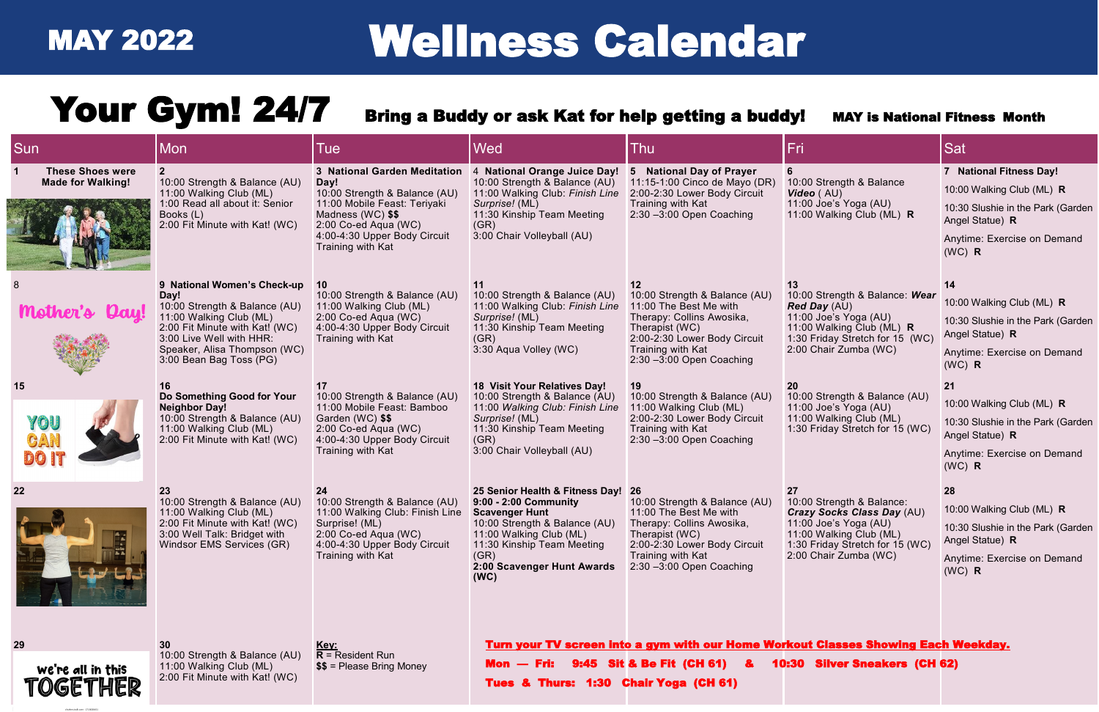shutterstock.com

| <b>Sun</b>                                          | Mon                                                                                                                                                                                                                      | Tue                                                                                                                                                                                                     | <b>Wed</b>                                                                                                                                                                                                                | Thu                                                                                                                                                                                                   | Fri                                                                                                                                                                                  | Sat                                                                                                                                                     |
|-----------------------------------------------------|--------------------------------------------------------------------------------------------------------------------------------------------------------------------------------------------------------------------------|---------------------------------------------------------------------------------------------------------------------------------------------------------------------------------------------------------|---------------------------------------------------------------------------------------------------------------------------------------------------------------------------------------------------------------------------|-------------------------------------------------------------------------------------------------------------------------------------------------------------------------------------------------------|--------------------------------------------------------------------------------------------------------------------------------------------------------------------------------------|---------------------------------------------------------------------------------------------------------------------------------------------------------|
| <b>These Shoes were</b><br><b>Made for Walking!</b> | 10:00 Strength & Balance (AU)<br>11:00 Walking Club (ML)<br>1:00 Read all about it: Senior<br>Books (L)<br>2:00 Fit Minute with Kat! (WC)                                                                                | 3 National Garden Meditation<br>Day!<br>10:00 Strength & Balance (AU)<br>11:00 Mobile Feast: Teriyaki<br>Madness (WC) \$\$<br>2:00 Co-ed Aqua (WC)<br>4:00-4:30 Upper Body Circuit<br>Training with Kat | 4 National Orange Juice Day!<br>10:00 Strength & Balance (AU)<br>11:00 Walking Club: Finish Line<br>Surprise! (ML)<br>11:30 Kinship Team Meeting<br>(GR)<br>3:00 Chair Volleyball (AU)                                    | 5 National Day of Prayer<br>11:15-1:00 Cinco de Mayo (DR)<br>2:00-2:30 Lower Body Circuit<br>Training with Kat<br>$2:30 - 3:00$ Open Coaching                                                         | 10:00 Strength & Balance<br>Video (AU)<br>11:00 Joe's Yoga (AU)<br>11:00 Walking Club (ML) R                                                                                         | 7 National Fitness Day!<br>10:00 Walking Club (ML) R<br>10:30 Slushie in the Park (Garden<br>Angel Statue) R<br>Anytime: Exercise on Demand<br>$(WC)$ R |
|                                                     | 9 National Women's Check-up<br>Day!<br>10:00 Strength & Balance (AU)<br>11:00 Walking Club (ML)<br>2:00 Fit Minute with Kat! (WC)<br>3:00 Live Well with HHR:<br>Speaker, Alisa Thompson (WC)<br>3:00 Bean Bag Toss (PG) | 10 <sup>°</sup><br>10:00 Strength & Balance (AU)<br>11:00 Walking Club (ML)<br>2:00 Co-ed Aqua (WC)<br>4:00-4:30 Upper Body Circuit<br>Training with Kat                                                | 10:00 Strength & Balance (AU)<br>11:00 Walking Club: Finish Line<br>Surprise! (ML)<br>11:30 Kinship Team Meeting<br>(GR)<br>3:30 Aqua Volley (WC)                                                                         | $12 \,$<br>10:00 Strength & Balance (AU)<br>11:00 The Best Me with<br>Therapy: Collins Awosika,<br>Therapist (WC)<br>2:00-2:30 Lower Body Circuit<br>Training with Kat<br>$2:30 - 3:00$ Open Coaching | 13<br>10:00 Strength & Balance: Wear<br><b>Red Day</b> (AU)<br>11:00 Joe's Yoga (AU)<br>11:00 Walking Club (ML) R<br>1:30 Friday Stretch for 15 (WC)<br>2:00 Chair Zumba (WC)        | 14<br>10:00 Walking Club (ML) R<br>10:30 Slushie in the Park (Garden<br>Angel Statue) R<br>Anytime: Exercise on Demand<br>$(WC)$ R                      |
| 15<br>YOU                                           | 16<br>Do Something Good for Your<br><b>Neighbor Day!</b><br>10:00 Strength & Balance (AU)<br>11:00 Walking Club (ML)<br>2:00 Fit Minute with Kat! (WC)                                                                   | 10:00 Strength & Balance (AU)<br>11:00 Mobile Feast: Bamboo<br>Garden (WC) \$\$<br>2:00 Co-ed Aqua (WC)<br>4:00-4:30 Upper Body Circuit<br>Training with Kat                                            | 18 Visit Your Relatives Day!<br>10:00 Strength & Balance (AU)<br>11:00 Walking Club: Finish Line<br>Surprise! (ML)<br>11:30 Kinship Team Meeting<br>(GR)<br>3:00 Chair Volleyball (AU)                                    | 19<br>10:00 Strength & Balance (AU)<br>11:00 Walking Club (ML)<br>2:00-2:30 Lower Body Circuit<br>Training with Kat<br>$2:30 - 3:00$ Open Coaching                                                    | 10:00 Strength & Balance (AU)<br>11:00 Joe's Yoga (AU)<br>11:00 Walking Club (ML)<br>1:30 Friday Stretch for 15 (WC)                                                                 | 21<br>10:00 Walking Club (ML) R<br>10:30 Slushie in the Park (Garden<br>Angel Statue) R<br>Anytime: Exercise on Demand<br>$(WC)$ R                      |
| 격                                                   | 23<br>10:00 Strength & Balance (AU)<br>11:00 Walking Club (ML)<br>2:00 Fit Minute with Kat! (WC)<br>3:00 Well Talk: Bridget with<br>Windsor EMS Services (GR)                                                            | 24<br>10:00 Strength & Balance (AU)<br>11:00 Walking Club: Finish Line<br>Surprise! (ML)<br>2:00 Co-ed Aqua (WC)<br>4:00-4:30 Upper Body Circuit<br>Training with Kat                                   | 25 Senior Health & Fitness Day!<br>9:00 - 2:00 Community<br><b>Scavenger Hunt</b><br>10:00 Strength & Balance (AU)<br>11:00 Walking Club (ML)<br>11:30 Kinship Team Meeting<br>(GR)<br>2:00 Scavenger Hunt Awards<br>(WC) | 26<br>10:00 Strength & Balance (AU)<br>11:00 The Best Me with<br>Therapy: Collins Awosika,<br>Therapist (WC)<br>2:00-2:30 Lower Body Circuit<br>Training with Kat<br>$2:30 - 3:00$ Open Coaching      | 27<br>10:00 Strength & Balance:<br><b>Crazy Socks Class Day (AU)</b><br>11:00 Joe's Yoga (AU)<br>11:00 Walking Club (ML)<br>1:30 Friday Stretch for 15 (WC)<br>2:00 Chair Zumba (WC) | 28<br>10:00 Walking Club (ML) R<br>10:30 Slushie in the Park (Garden<br>Angel Statue) R<br>Anytime: Exercise on Demand<br>$(WC)$ R                      |
| 29<br>we're all in this<br>TOGETHER                 | 30<br>10:00 Strength & Balance (AU)<br>11:00 Walking Club (ML)<br>2:00 Fit Minute with Kat! (WC)                                                                                                                         | <u>Key:</u><br>$R =$ Resident Run<br>$$$ = Please Bring Money                                                                                                                                           | Mon - Fri: 9:45 Sit & Be Fit (CH 61) &<br>Tues & Thurs: 1:30 Chair Yoga (CH 61)                                                                                                                                           | Turn your TV screen into a gym with our Home Workout Classes Showing Each Weekday.                                                                                                                    | 10:30 Silver Sneakers (CH 62)                                                                                                                                                        |                                                                                                                                                         |

# MAY 2022 Wellness Calendar

# Your Gym! 24/7 Bring a Buddy or ask Kat for help getting a buddy! MAY is National Fitness Month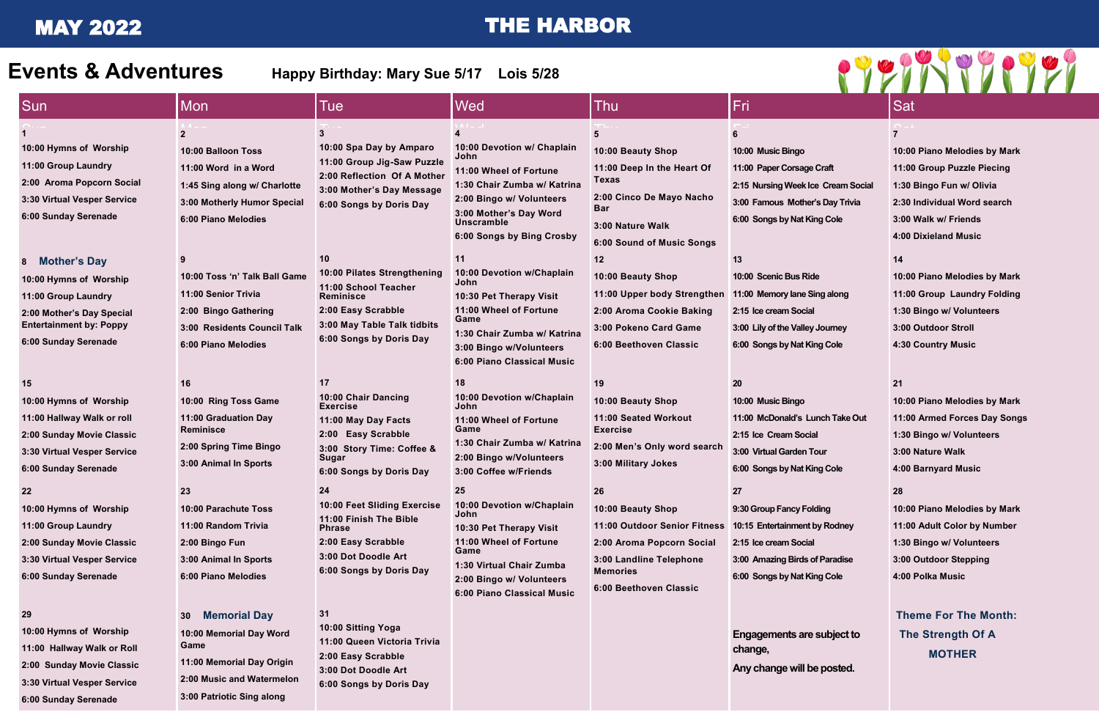# MAY 2022 THE HARBOR

#### **7**

**10:00 Piano Melodies by Mark 11:00 Group Puzzle Piecing 1:30 Bingo Fun w/ Olivia 2:30 Individual Word search 3:00 Walk w/ Friends 4:00 Dixieland Music**

#### **14**

**10:00 Piano Melodies by Mark 11:00 Group Laundry Folding 1:30 Bingo w/ Volunteers 3:00 Outdoor Stroll 4:30 Country Music**

|  |                                                                                                                                                                                                                                                                                                        |                                                                                                                                                                                                                                                                                        |                                                                                                                                                                                                                                                                                                                    |                                                                                                                                                                                                                                                                                                                                                                                          |                                                                                                                                                                                                                                                                                                            | $\mathbf{V}$ and $\mathbf{V}$                                                                                                                                                                                                                                                                                      |                                                                                                |
|--|--------------------------------------------------------------------------------------------------------------------------------------------------------------------------------------------------------------------------------------------------------------------------------------------------------|----------------------------------------------------------------------------------------------------------------------------------------------------------------------------------------------------------------------------------------------------------------------------------------|--------------------------------------------------------------------------------------------------------------------------------------------------------------------------------------------------------------------------------------------------------------------------------------------------------------------|------------------------------------------------------------------------------------------------------------------------------------------------------------------------------------------------------------------------------------------------------------------------------------------------------------------------------------------------------------------------------------------|------------------------------------------------------------------------------------------------------------------------------------------------------------------------------------------------------------------------------------------------------------------------------------------------------------|--------------------------------------------------------------------------------------------------------------------------------------------------------------------------------------------------------------------------------------------------------------------------------------------------------------------|------------------------------------------------------------------------------------------------|
|  | <b>Sun</b>                                                                                                                                                                                                                                                                                             | <b>Mon</b>                                                                                                                                                                                                                                                                             | <b>Tue</b>                                                                                                                                                                                                                                                                                                         | Wed                                                                                                                                                                                                                                                                                                                                                                                      | <b>Thu</b>                                                                                                                                                                                                                                                                                                 | Fri                                                                                                                                                                                                                                                                                                                | <b>Sat</b>                                                                                     |
|  | 10:00 Hymns of Worship<br>11:00 Group Laundry<br>2:00 Aroma Popcorn Social<br>3:30 Virtual Vesper Service<br>6:00 Sunday Serenade<br><b>Mother's Day</b><br>-8<br>10:00 Hymns of Worship<br>11:00 Group Laundry<br>2:00 Mother's Day Special<br><b>Entertainment by: Poppy</b><br>6:00 Sunday Serenade | $\mathbf{2}$<br>10:00 Balloon Toss<br>11:00 Word in a Word<br>1:45 Sing along w/ Charlotte<br>3:00 Motherly Humor Special<br>6:00 Piano Melodies<br>10:00 Toss 'n' Talk Ball Game<br>11:00 Senior Trivia<br>2:00 Bingo Gathering<br>3:00 Residents Council Talk<br>6:00 Piano Melodies | 3<br>10:00 Spa Day by Amparo<br>11:00 Group Jig-Saw Puzzle<br>2:00 Reflection Of A Mother<br>3:00 Mother's Day Message<br>6:00 Songs by Doris Day<br>10<br>10:00 Pilates Strengthening<br>11:00 School Teacher<br>Reminisce<br>2:00 Easy Scrabble<br>3:00 May Table Talk tidbits<br>6:00 Songs by Doris Day        | 10:00 Devotion w/ Chaplain<br>John<br>11:00 Wheel of Fortune<br>1:30 Chair Zumba w/ Katrina<br>2:00 Bingo w/ Volunteers<br>3:00 Mother's Day Word<br><b>Unscramble</b><br>6:00 Songs by Bing Crosby<br>11<br>10:00 Devotion w/Chaplain<br>John<br>10:30 Pet Therapy Visit<br>11:00 Wheel of Fortune<br>Game<br>1:30 Chair Zumba w/ Katrina<br>3:00 Bingo w/Volunteers                    | 10:00 Beauty Shop<br>11:00 Deep In the Heart Of<br><b>Texas</b><br>2:00 Cinco De Mayo Nacho<br><b>Bar</b><br>3:00 Nature Walk<br><b>6:00 Sound of Music Songs</b><br>12<br>10:00 Beauty Shop<br>11:00 Upper body Strengthen<br>2:00 Aroma Cookie Baking<br>3:00 Pokeno Card Game<br>6:00 Beethoven Classic | 10:00 Music Bingo<br>11:00 Paper Corsage Craft<br>2:15 Nursing Week Ice Cream Social<br>3:00 Famous Mother's Day Trivia<br>6:00 Songs by Nat King Cole<br>13<br>10:00 Scenic Bus Ride<br>11:00 Memory lane Sing along<br>2:15 Ice cream Social<br>3:00 Lily of the Valley Journey<br>6:00 Songs by Nat King Cole   | 10:00<br>11:00<br>1:30<br>2:30<br>3:00<br>4:00<br>14<br>10:00<br>11:00<br>1:30<br>3:00<br>4:30 |
|  | 15<br>10:00 Hymns of Worship<br>11:00 Hallway Walk or roll<br>2:00 Sunday Movie Classic<br>3:30 Virtual Vesper Service<br>6:00 Sunday Serenade<br>10:00 Hymns of Worship<br>11:00 Group Laundry<br>2:00 Sunday Movie Classic<br>3:30 Virtual Vesper Service<br>6:00 Sunday Serenade                    | 16<br>10:00 Ring Toss Game<br>11:00 Graduation Day<br><b>Reminisce</b><br>2:00 Spring Time Bingo<br>3:00 Animal In Sports<br>10:00 Parachute Toss<br>11:00 Random Trivia<br>2:00 Bingo Fun<br>3:00 Animal In Sports<br>6:00 Piano Melodies                                             | 17<br>10:00 Chair Dancing<br><b>Exercise</b><br>11:00 May Day Facts<br>2:00 Easy Scrabble<br>3:00 Story Time: Coffee &<br>Sugar<br>6:00 Songs by Doris Day<br>24<br>10:00 Feet Sliding Exercise<br>11:00 Finish The Bible<br><b>Phrase</b><br>2:00 Easy Scrabble<br>3:00 Dot Doodle Art<br>6:00 Songs by Doris Day | 6:00 Piano Classical Music<br>18<br>10:00 Devotion w/Chaplain<br>John<br>11:00 Wheel of Fortune<br>Game<br>1:30 Chair Zumba w/ Katrina<br>2:00 Bingo w/Volunteers<br>3:00 Coffee w/Friends<br>25<br>10:00 Devotion w/Chaplain<br>John<br>10:30 Pet Therapy Visit<br>11:00 Wheel of Fortune<br>Game<br>1:30 Virtual Chair Zumba<br>2:00 Bingo w/ Volunteers<br>6:00 Piano Classical Music | 19<br>10:00 Beauty Shop<br>11:00 Seated Workout<br><b>Exercise</b><br>2:00 Men's Only word search<br>3:00 Military Jokes<br>26<br>10:00 Beauty Shop<br>11:00 Outdoor Senior Fitness<br>2:00 Aroma Popcorn Social<br>3:00 Landline Telephone<br><b>Memories</b><br>6:00 Beethoven Classic                   | <b>20</b><br>10:00 Music Bingo<br>11:00 McDonald's Lunch Take Out<br>2:15 Ice Cream Social<br>3:00 Virtual Garden Tour<br>6:00 Songs by Nat King Cole<br>27<br>9:30 Group Fancy Folding<br>10:15 Entertainment by Rodney<br>2:15 Ice cream Social<br>3:00 Amazing Birds of Paradise<br>6:00 Songs by Nat King Cole | 21<br>10:00<br>11:00<br>1:30<br>3:00<br>4:00<br>28<br>10:00<br>11:00<br>1:30<br>3:00<br>4:00   |
|  | 29<br>10:00 Hymns of Worship<br>11:00 Hallway Walk or Roll<br>2:00 Sunday Movie Classic                                                                                                                                                                                                                | <b>Memorial Day</b><br>30 <sup>°</sup><br>10:00 Memorial Day Word<br>Game<br>11:00 Memorial Day Origin                                                                                                                                                                                 | 31<br>10:00 Sitting Yoga<br>11:00 Queen Victoria Trivia<br>2:00 Easy Scrabble<br>3:00 Dot Doodle Art                                                                                                                                                                                                               |                                                                                                                                                                                                                                                                                                                                                                                          |                                                                                                                                                                                                                                                                                                            | Engagements are subject to<br>change,<br>Any change will be posted.                                                                                                                                                                                                                                                | <b>The</b><br><b>Th</b>                                                                        |

## **21**

**10:00 Piano Melodies by Mark 11:00 Armed Forces Day Songs 1:30 Bingo w/ Volunteers 3:00 Nature Walk 4:00 Barnyard Music 28 10:00 Piano Melodies by Mark 11:00 Adult Color by Number 1:30 Bingo w/ Volunteers 3:00 Outdoor Stepping**

**4:00 Polka Music**

**3:30 Virtual Vesper Service**

**6:00 Sunday Serenade**

**2:00 Music and Watermelon** 

**3:00 Patriotic Sing along**

**6:00 Songs by Doris Day** 



**Any change will be posted.**

**Theme For The Month: The Strength Of A MOTHER**

**Events & Adventures Happy Birthday: Mary Sue 5/17 Lois 5/28**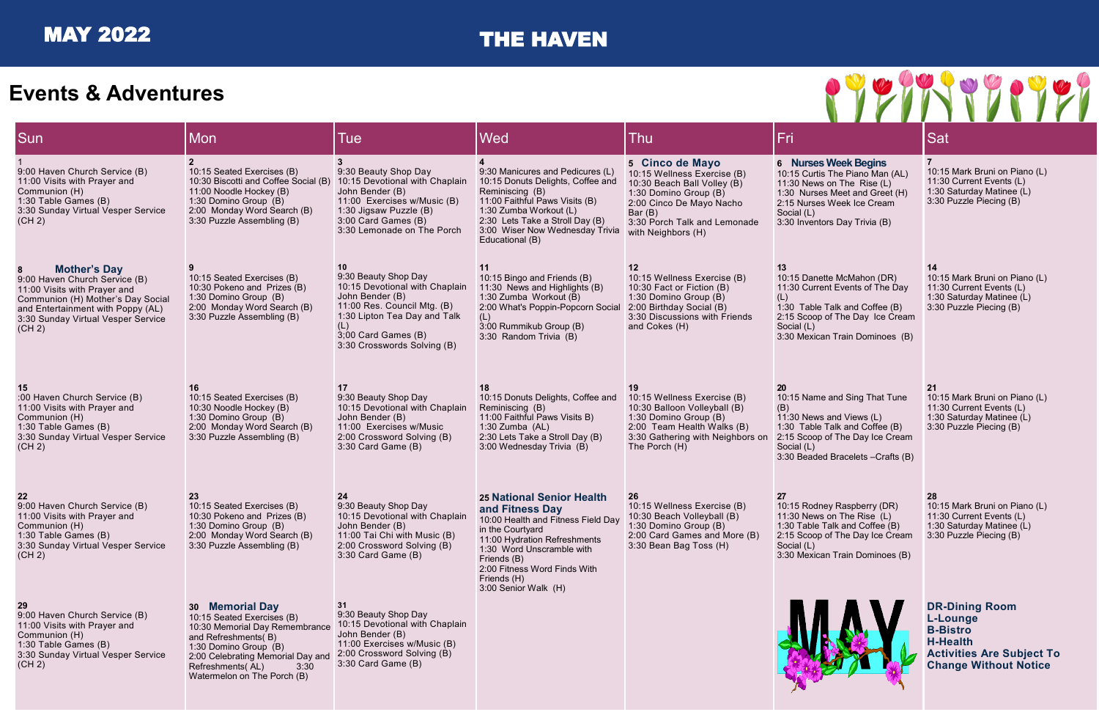10:15 Mark Bruni on Piano (L) 11:30 Current Events (L) 1:30 Saturday Matinee (L) 3:30 Puzzle Piecing (B)

## lame and Sing That Tune

## **7**

## **14**

10:15 Mark Bruni on Piano (L) 11:30 Current Events (L) 1:30 Saturday Matinee (L) 3:30 Puzzle Piecing (B)

| Sun                                                                                                                                                                                                                 | <b>Mon</b>                                                                                                                                                                                                                      | <b>Tue</b>                                                                                                                                                                                                  | Wed                                                                                                                                                                                                                                                              | Thu                                                                                                                                                                                                 | Fri                                                                                                                                                                                                  | Sat                                                    |
|---------------------------------------------------------------------------------------------------------------------------------------------------------------------------------------------------------------------|---------------------------------------------------------------------------------------------------------------------------------------------------------------------------------------------------------------------------------|-------------------------------------------------------------------------------------------------------------------------------------------------------------------------------------------------------------|------------------------------------------------------------------------------------------------------------------------------------------------------------------------------------------------------------------------------------------------------------------|-----------------------------------------------------------------------------------------------------------------------------------------------------------------------------------------------------|------------------------------------------------------------------------------------------------------------------------------------------------------------------------------------------------------|--------------------------------------------------------|
| 9:00 Haven Church Service (B)<br>11:00 Visits with Prayer and<br>Communion (H)<br>1:30 Table Games (B)<br>3:30 Sunday Virtual Vesper Service<br>(CH 2)                                                              | 10:15 Seated Exercises (B)<br>10:30 Biscotti and Coffee Social (B)<br>11:00 Noodle Hockey (B)<br>1:30 Domino Group (B)<br>2:00 Monday Word Search (B)<br>3:30 Puzzle Assembling (B)                                             | 9:30 Beauty Shop Day<br>10:15 Devotional with Chaplain<br>John Bender (B)<br>11:00 Exercises w/Music (B)<br>1:30 Jigsaw Puzzle (B)<br>3:00 Card Games (B)<br>3:30 Lemonade on The Porch                     | 9:30 Manicures and Pedicures (L)<br>10:15 Donuts Delights, Coffee and<br>Reminiscing (B)<br>11:00 Faithful Paws Visits (B)<br>1:30 Zumba Workout (L)<br>2:30 Lets Take a Stroll Day (B)<br>3:00 Wiser Now Wednesday Trivia<br>Educational (B)                    | 5 Cinco de Mayo<br>10:15 Wellness Exercise (B)<br>10:30 Beach Ball Volley (B)<br>1:30 Domino Group (B)<br>2:00 Cinco De Mayo Nacho<br>Bar (B)<br>3:30 Porch Talk and Lemonade<br>with Neighbors (H) | 6 Nurses Week Begins<br>10:15 Curtis The Piano Man (AL)<br>11:30 News on The Rise (L)<br>1:30 Nurses Meet and Greet (H)<br>2:15 Nurses Week Ice Cream<br>Social (L)<br>3:30 Inventors Day Trivia (B) | 7 <sup>7</sup><br>10:15<br>11:30<br>1:30<br>3:30       |
| <b>Mother's Day</b><br>8<br>9:00 Haven Church Service (B)<br>11:00 Visits with Prayer and<br>Communion (H) Mother's Day Social<br>and Entertainment with Poppy (AL)<br>3:30 Sunday Virtual Vesper Service<br>(CH 2) | 10:15 Seated Exercises (B)<br>10:30 Pokeno and Prizes (B)<br>1:30 Domino Group (B)<br>2:00 Monday Word Search (B)<br>3:30 Puzzle Assembling (B)                                                                                 | 10<br>9:30 Beauty Shop Day<br>10:15 Devotional with Chaplain<br>John Bender (B)<br>11:00 Res. Council Mtg. (B)<br>1:30 Lipton Tea Day and Talk<br>(L)<br>3;00 Card Games (B)<br>3:30 Crosswords Solving (B) | 10:15 Bingo and Friends (B)<br>11:30 News and Highlights (B)<br>1:30 Zumba Workout (B)<br>2:00 What's Poppin-Popcorn Social<br>(L)<br>3:00 Rummikub Group (B)<br>3:30 Random Trivia (B)                                                                          | 12<br>10:15 Wellness Exercise (B)<br>10:30 Fact or Fiction (B)<br>1:30 Domino Group (B)<br>2:00 Birthday Social (B)<br>3:30 Discussions with Friends<br>and Cokes (H)                               | 13<br>10:15 Danette McMahon (DR)<br>11:30 Current Events of The Day<br>(L)<br>1:30 Table Talk and Coffee (B)<br>2:15 Scoop of The Day Ice Cream<br>Social (L)<br>3:30 Mexican Train Dominoes (B)     | 14<br>10:15<br>11:30<br>1:30<br>3:30                   |
| :00 Haven Church Service (B)<br>11:00 Visits with Prayer and<br>Communion (H)<br>1:30 Table Games (B)<br>3:30 Sunday Virtual Vesper Service<br>(CH 2)                                                               | 16<br>10:15 Seated Exercises (B)<br>10:30 Noodle Hockey (B)<br>1:30 Domino Group (B)<br>2:00 Monday Word Search (B)<br>3:30 Puzzle Assembling (B)                                                                               | 17<br>9:30 Beauty Shop Day<br>10:15 Devotional with Chaplain<br>John Bender (B)<br>11:00 Exercises w/Music<br>2:00 Crossword Solving (B)<br>3:30 Card Game (B)                                              | 10:15 Donuts Delights, Coffee and<br>Reminiscing (B)<br>11:00 Faithful Paws Visits B)<br>1:30 Zumba $(AL)$<br>2:30 Lets Take a Stroll Day (B)<br>3:00 Wednesday Trivia (B)                                                                                       | 10:15 Wellness Exercise (B)<br>10:30 Balloon Volleyball (B)<br>1:30 Domino Group (B)<br>2:00 Team Health Walks (B)<br>3:30 Gathering with Neighbors on<br>The Porch (H)                             | 20<br>10:15 Name and Sing That Tune<br>(B)<br>11:30 News and Views (L)<br>1:30 Table Talk and Coffee (B)<br>2:15 Scoop of The Day Ice Cream<br>Social (L)<br>3:30 Beaded Bracelets - Crafts (B)      | 21<br>10:15<br>11:30<br>1:30<br>3:30                   |
| 22<br>9:00 Haven Church Service (B)<br>11:00 Visits with Prayer and<br>Communion (H)<br>1:30 Table Games (B)<br>3:30 Sunday Virtual Vesper Service<br>(CH 2)                                                        | 23<br>10:15 Seated Exercises (B)<br>10:30 Pokeno and Prizes (B)<br>1:30 Domino Group (B)<br>2:00 Monday Word Search (B)<br>3:30 Puzzle Assembling (B)                                                                           | 24<br>9:30 Beauty Shop Day<br>10:15 Devotional with Chaplain<br>John Bender (B)<br>11:00 Tai Chi with Music (B)<br>2:00 Crossword Solving (B)<br>3:30 Card Game (B)                                         | <b>25 National Senior Health</b><br>and Fitness Day<br>10:00 Health and Fitness Field Day<br>in the Courtyard<br>11:00 Hydration Refreshments<br>1:30 Word Unscramble with<br>Friends (B)<br>2:00 Fitness Word Finds With<br>Friends (H)<br>3:00 Senior Walk (H) | 26<br>10:15 Wellness Exercise (B)<br>10:30 Beach Volleyball (B)<br>1:30 Domino Group (B)<br>2:00 Card Games and More (B)<br>3:30 Bean Bag Toss (H)                                                  | 27<br>10:15 Rodney Raspberry (DR)<br>11:30 News on The Rise (L)<br>1:30 Table Talk and Coffee (B)<br>2:15 Scoop of The Day Ice Cream<br>Social (L)<br>3:30 Mexican Train Dominoes (B)                | 28<br>10:15<br>11:30<br>1:30<br>3:30                   |
| 29<br>9:00 Haven Church Service (B)<br>11:00 Visits with Prayer and<br>Communion (H)<br>1:30 Table Games (B)<br>3:30 Sunday Virtual Vesper Service<br>(CH 2)                                                        | 30 Memorial Day<br>10:15 Seated Exercises (B)<br>10:30 Memorial Day Remembrance<br>and Refreshments(B)<br>1:30 Domino Group (B)<br>2:00 Celebrating Memorial Day and<br>Refreshments(AL)<br>3:30<br>Watermelon on The Porch (B) | 31<br>9:30 Beauty Shop Day<br>10:15 Devotional with Chaplain<br>John Bender (B)<br>11:00 Exercises w/Music (B)<br>2:00 Crossword Solving (B)<br>3:30 Card Game (B)                                          |                                                                                                                                                                                                                                                                  |                                                                                                                                                                                                     |                                                                                                                                                                                                      | DR-<br>$L-L$<br>$B - B$<br>$H-H$<br><b>Acti</b><br>Cha |



#### **Ses Week Begins**

#### **21**

10:15 Mark Bruni on Piano (L) 11:30 Current Events (L) 1:30 Saturday Matinee (L)

3:30 Puzzle Piecing (B)

## 10:15 Rodney Raspberry (DR) 11:30 News on The Rise (L)  $\overline{1}$  alk and Coffee  $(B)$ oop of The Day Ice Cream. 3:30 Mexican Train Dominoes (B)

### **28**

10:15 Mark Bruni on Piano (L) 11:30 Current Events (L) 1:30 Saturday Matinee (L) 3:30 Puzzle Piecing (B)

**DR-Dining Room L-Lounge B-Bistro H-Health Activities Are Subject To Change Without Notice**

# **Events & Adventures**